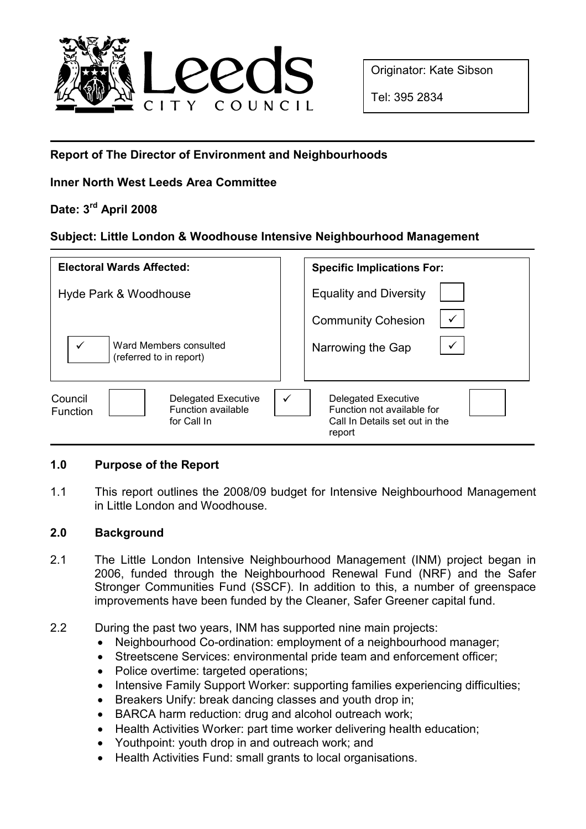

Originator: Kate Sibson

Tel: 395 2834

# Report of The Director of Environment and Neighbourhoods

## Inner North West Leeds Area Committee

# Date: 3rd April 2008

## Subject: Little London & Woodhouse Intensive Neighbourhood Management

| <b>Electoral Wards Affected:</b>                                                       | <b>Specific Implications For:</b>                                                                                    |
|----------------------------------------------------------------------------------------|----------------------------------------------------------------------------------------------------------------------|
| Hyde Park & Woodhouse                                                                  | <b>Equality and Diversity</b>                                                                                        |
| $\checkmark$<br>Ward Members consulted<br>(referred to in report)                      | <b>Community Cohesion</b><br>Narrowing the Gap                                                                       |
| Delegated Executive<br>Council<br>Function available<br><b>Function</b><br>for Call In | $\checkmark$<br><b>Delegated Executive</b><br>Function not available for<br>Call In Details set out in the<br>report |

## 1.0 Purpose of the Report

1.1 This report outlines the 2008/09 budget for Intensive Neighbourhood Management in Little London and Woodhouse.

## 2.0 Background

- 2.1 The Little London Intensive Neighbourhood Management (INM) project began in 2006, funded through the Neighbourhood Renewal Fund (NRF) and the Safer Stronger Communities Fund (SSCF). In addition to this, a number of greenspace improvements have been funded by the Cleaner, Safer Greener capital fund.
- 2.2 During the past two years, INM has supported nine main projects:
	- Neighbourhood Co-ordination: employment of a neighbourhood manager;
	- Streetscene Services: environmental pride team and enforcement officer;
	- Police overtime: targeted operations;
	- Intensive Family Support Worker: supporting families experiencing difficulties;
	- Breakers Unify: break dancing classes and youth drop in;
	- BARCA harm reduction: drug and alcohol outreach work;
	- Health Activities Worker: part time worker delivering health education;
	- Youthpoint: youth drop in and outreach work; and
	- Health Activities Fund: small grants to local organisations.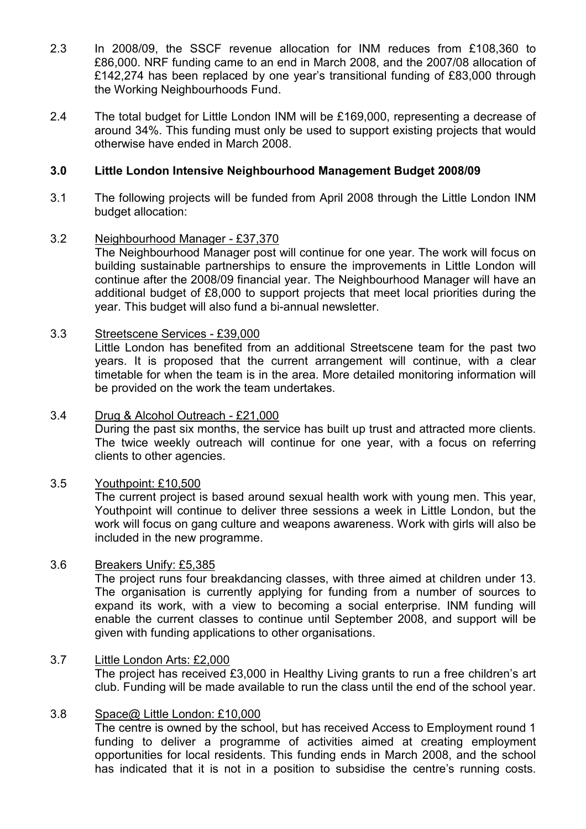- 2.3 In 2008/09, the SSCF revenue allocation for INM reduces from £108,360 to £86,000. NRF funding came to an end in March 2008, and the 2007/08 allocation of £142,274 has been replaced by one year's transitional funding of £83,000 through the Working Neighbourhoods Fund.
- 2.4 The total budget for Little London INM will be £169,000, representing a decrease of around 34%. This funding must only be used to support existing projects that would otherwise have ended in March 2008.

## 3.0 Little London Intensive Neighbourhood Management Budget 2008/09

3.1 The following projects will be funded from April 2008 through the Little London INM budget allocation:

### 3.2 Neighbourhood Manager - £37,370

The Neighbourhood Manager post will continue for one year. The work will focus on building sustainable partnerships to ensure the improvements in Little London will continue after the 2008/09 financial year. The Neighbourhood Manager will have an additional budget of £8,000 to support projects that meet local priorities during the year. This budget will also fund a bi-annual newsletter.

### 3.3 Streetscene Services - £39,000

Little London has benefited from an additional Streetscene team for the past two years. It is proposed that the current arrangement will continue, with a clear timetable for when the team is in the area. More detailed monitoring information will be provided on the work the team undertakes.

#### 3.4 Drug & Alcohol Outreach - £21,000

During the past six months, the service has built up trust and attracted more clients. The twice weekly outreach will continue for one year, with a focus on referring clients to other agencies.

### 3.5 Youthpoint: £10,500

The current project is based around sexual health work with young men. This year, Youthpoint will continue to deliver three sessions a week in Little London, but the work will focus on gang culture and weapons awareness. Work with girls will also be included in the new programme.

#### 3.6 Breakers Unify: £5,385

The project runs four breakdancing classes, with three aimed at children under 13. The organisation is currently applying for funding from a number of sources to expand its work, with a view to becoming a social enterprise. INM funding will enable the current classes to continue until September 2008, and support will be given with funding applications to other organisations.

### 3.7 Little London Arts: £2,000

The project has received £3,000 in Healthy Living grants to run a free children's art club. Funding will be made available to run the class until the end of the school year.

#### 3.8 Space@ Little London: £10,000

The centre is owned by the school, but has received Access to Employment round 1 funding to deliver a programme of activities aimed at creating employment opportunities for local residents. This funding ends in March 2008, and the school has indicated that it is not in a position to subsidise the centre's running costs.